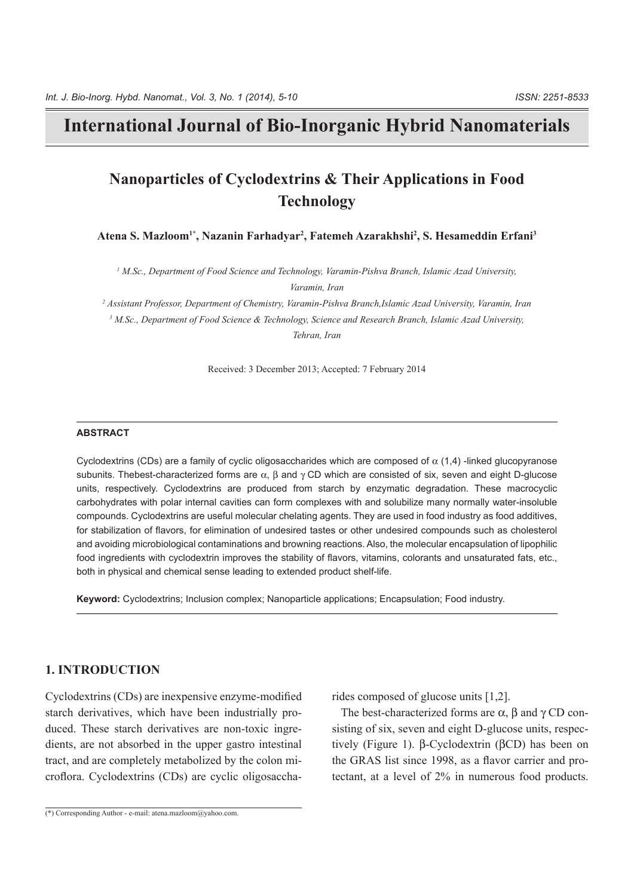# **International Journal of Bio-Inorganic Hybrid Nanomaterials**

# **Nanoparticles of Cyclodextrins & Their Applications in Food Technology**

Atena S. Mazloom<sup>1\*</sup>, Nazanin Farhadyar<sup>2</sup>, Fatemeh Azarakhshi<sup>2</sup>, S. Hesameddin Erfani<sup>3</sup>

<sup>1</sup> M.Sc., Department of Food Science and Technology, Varamin-Pishva Branch, Islamic Azad University, *Varamin*, *Iran* 

<sup>2</sup> Assistant Professor, Department of Chemistry, Varamin-Pishva Branch,Islamic Azad University, Varamin, Iran <sup>3</sup> M.Sc., Department of Food Science & Technology, Science and Research Branch, Islamic Azad University, *Iran ,Tehran*

Received: 3 December 2013; Accepted: 7 February 2014

#### **ABSTRACT**

Cyclodextrins (CDs) are a family of cyclic oligosaccharides which are composed of  $\alpha$  (1.4) -linked glucopyranose subunits. The best-characterized forms are  $\alpha$ ,  $\beta$  and  $\gamma$  CD which are consisted of six, seven and eight D-glucose units, respectively. Cyclodextrins are produced from starch by enzymatic degradation. These macrocyclic carbohydrates with polar internal cavities can form complexes with and solubilize many normally water-insoluble compounds. Cyclodextrins are useful molecular chelating agents. They are used in food industry as food additives, for stabilization of flavors, for elimination of undesired tastes or other undesired compounds such as cholesterol and avoiding microbiological contaminations and browning reactions. Also, the molecular encapsulation of lipophilic food ingredients with cyclodextrin improves the stability of flavors, vitamins, colorants and unsaturated fats, etc., both in physical and chemical sense leading to extended product shelf-life.

Keyword: Cyclodextrins; Inclusion complex; Nanoparticle applications; Encapsulation; Food industry.

## **1. INTRODUCTION**

Cyclodextrins (CDs) are inexpensive enzyme-modified duced. These starch derivatives are non-toxic ingredients, are not absorbed in the upper gastro intestinal starch derivatives, which have been industrially pro-<br>duced. These starch derivatives are non-toxic ingrecroflora. Cyclodextrins (CDs) are cyclic oligosacchatract, and are completely metabolized by the colon mi-

d rides composed of glucose units [1,2].<br>
The best-characterized forms are  $\alpha$ ,  $\beta$  and  $\gamma$  CD consisting of six, seven and eight D-glucose units, respec-<br>
il (Figure 1).  $\beta$ -Cyclodextrin ( $\beta$ CD) has been on<br>
the GRA tively (Figure 1). β-Cyclodextrin ( $βCD$ ) has been on sisting of six, seven and eight D-glucose units, respec-The best-characterized forms are  $\alpha$ ,  $\beta$  and  $\gamma$  CD con-

 $\overline{(*)}$  Corresponding Author - e-mail: atena mazloom@vahoo.com.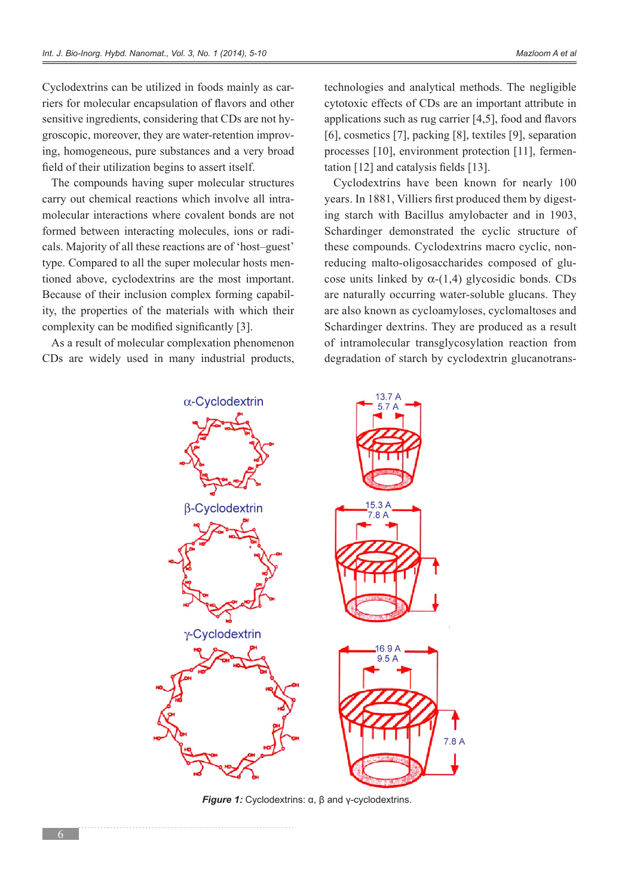riers for molecular encapsulation of flavors and other Cyclodextrins can be utilized in foods mainly as caring, homogeneous, pure substances and a very broad groscopic, moreover, they are water-retention improvsensitive ingredients, considering that CDs are not hyfield of their utilization begins to assert itself.

The compounds having super molecular structures molecular interactions where covalent bonds are not carry out chemical reactions which involve all intracals. Majority of all these reactions are of 'host-guest' formed between interacting molecules, ions or raditioned above, cyclodextrins are the most important. type. Compared to all the super molecular hosts menity, the properties of the materials with which their Because of their inclusion complex forming capabilcomplexity can be modified significantly  $[3]$ .

As a result of molecular complexation phenomenon CDs are widely used in many industrial products, technologies and analytical methods. The negligible cytotoxic effects of CDs are an important attribute in applications such as rug carrier  $[4,5]$ , food and flavors [6], cosmetics [7], packing  $[8]$ , textiles  $[9]$ , separation processes [10], environment protection [11], fermentation [12] and catalysis fields [13].

Cyclodextrins have been known for nearly 100 ing starch with Bacillus amylobacter and in 1903, years. In 1881, Villiers first produced them by digest-Schardinger demonstrated the cyclic structure of cose units linked by  $\alpha$ -(1,4) glycosidic bonds. CDs reducing malto-oligosaccharides composed of gluthese compounds. Cyclodextrins macro cyclic, nonare naturally occurring water-soluble glucans. They are also known as cycloamyloses, cyclomaltoses and Schardinger dextrins. They are produced as a result of intramolecular transglycosylation reaction from degradation of starch by cyclodextrin glucanotrans-

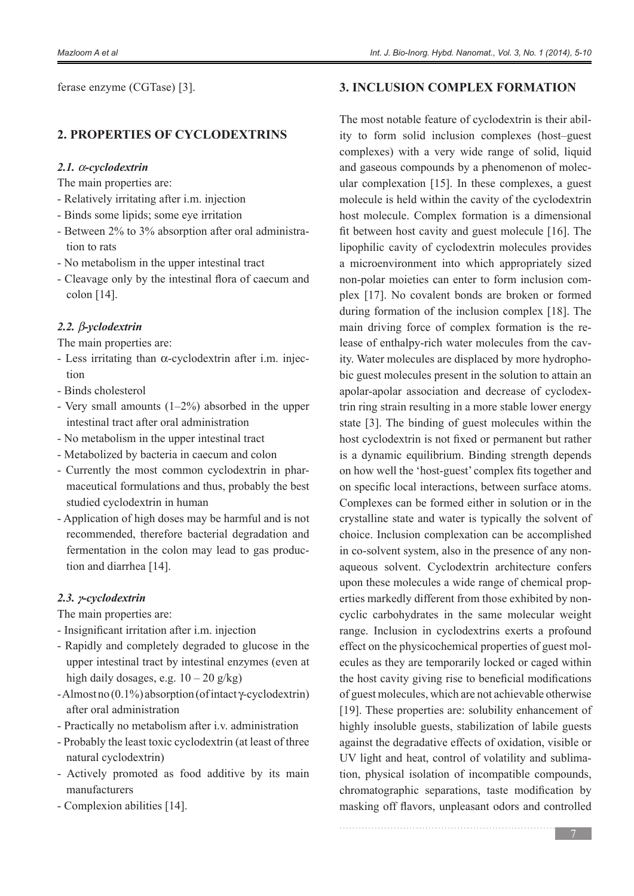ferase enzyme (CGTase) [3].

### **2. PROPERTIES OF CYCLODEXTRINS**

#### *cyclodextrin-*α *2.1.*

- The main properties are:
- Relatively irritating after i.m. injection
- Binds some lipids; some eye irritation
- Between 2% to 3% absorption after oral administration to rats
- No metabolism in the upper intestinal tract
- Cleavage only by the intestinal flora of caecum and colon  $[14]$ .

### *yclodextrin-*β *2.2.*

The main properties are:

- Less irritating than  $\alpha$ -cyclodextrin after i.m. injection
- Binds cholesterol
- Very small amounts  $(1-2\%)$  absorbed in the upper intestinal tract after oral administration
- No metabolism in the upper intestinal tract
- Metabolized by bacteria in caecum and colon
- maceutical formulations and thus, probably the best - Currently the most common cyclodextrin in pharstudied cyclodextrin in human
- Application of high doses may be harmful and is not recommended, therefore bacterial degradation and fermentation in the colon may lead to gas production and diarrhea [14].

### *cyclodextrin-γ 2.3.*

The main properties are:

- Insignificant irritation after i.m. injection
- Rapidly and completely degraded to glucose in the upper intestinal tract by intestinal enzymes (even at high daily dosages, e.g.  $10 - 20$  g/kg)
- $-Almost no (0.1%) absorption (of intact v-cvclodextrin)$ after oral administration
- Practically no metabolism after i.v. administration
- Probably the least toxic cyclodextrin (at least of three natural cyclodextrin)
- Actively promoted as food additive by its main manufacturers
- Complexion abilities [14].

## *A. INCLUSION COMPLEX FORMATION*

ity to form solid inclusion complexes (host–guest The most notable feature of cyclodextrin is their abilcomplexes) with a very wide range of solid, liquid ular complexation  $[15]$ . In these complexes, a guest and gaseous compounds by a phenomenon of molecmolecule is held within the cavity of the cyclodextrin host molecule. Complex formation is a dimensional fit between host cavity and guest molecule  $[16]$ . The lipophilic cavity of cyclodextrin molecules provides a microenvironment into which appropriately sized plex [17]. No covalent bonds are broken or formed non-polar moieties can enter to form inclusion comduring formation of the inclusion complex [18]. The bic guest molecules present in the solution to attain an ity. Water molecules are displaced by more hydropholease of enthalpy-rich water molecules from the cavmain driving force of complex formation is the retrin ring strain resulting in a more stable lower energy apolar-apolar association and decrease of cyclodexstate  $[3]$ . The binding of guest molecules within the host cyclodextrin is not fixed or permanent but rather is a dynamic equilibrium. Binding strength depends on how well the 'host-guest' complex fits together and on specific local interactions, between surface atoms. Complexes can be formed either in solution or in the crystalline state and water is typically the solvent of choice. Inclusion complexation can be accomplished aqueous solvent. Cyclodextrin architecture confers in co-solvent system, also in the presence of any nonerties markedly different from those exhibited by non-<br>cyclic-carbohydrates in the same molecular weight upon these molecules a wide range of chemical properties markedly different from those exhibited by nonupon these molecules a wide range of chemical proprange. Inclusion in cyclodextrins exerts a profound ecules as they are temporarily locked or caged within effect on the physicochemical properties of guest molthe host cavity giving rise to beneficial modifications of guest molecules, which are not achievable otherwise [19]. These properties are: solubility enhancement of highly insoluble guests, stabilization of labile guests against the degradative effects of oxidation, visible or tion, physical isolation of incompatible compounds, UV light and heat, control of volatility and sublimachromatographic separations, taste modification by masking off flavors, unpleasant odors and controlled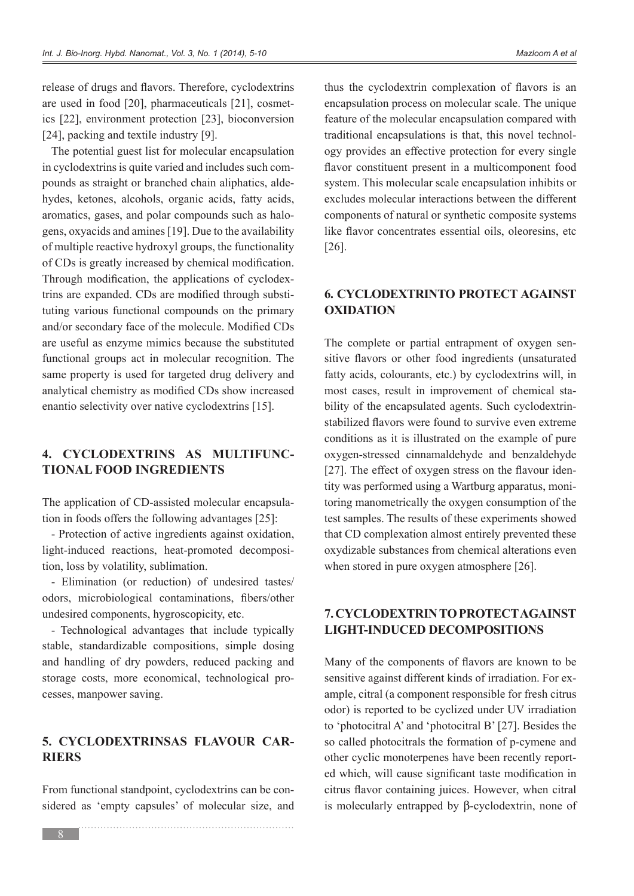release of drugs and flavors. Therefore, cyclodextrins ics  $[22]$ , environment protection  $[23]$ , bioconversion are used in food  $[20]$ , pharmaceuticals  $[21]$ , cosmet-[24], packing and textile industry  $[9]$ .

The potential guest list for molecular encapsulation hydes, ketones, alcohols, organic acids, fatty acids, pounds as straight or branched chain aliphatics, aldein cyclodextrins is quite varied and includes such comgens, oxyacids and amines [19]. Due to the availability aromatics, gases, and polar compounds such as haloof multiple reactive hydroxyl groups, the functionality of CDs is greatly increased by chemical modification. tuting various functional compounds on the primary trins are expanded. CDs are modified through substi-Through modification, the applications of cyclodexand/or secondary face of the molecule. Modified CDs are useful as enzyme mimics because the substituted functional groups act in molecular recognition. The same property is used for targeted drug delivery and analytical chemistry as modified CDs show increased enantio selectivity over native cyclodextrins [15].

# 4. CYCLODEXTRINS AS MULTIFUNC-<br>TIONAL FOOD INGREDIENTS

tion in foods offers the following advantages  $[25]$ : The application of CD-assisted molecular encapsula-

- Protection of active ingredients against oxidation. light-induced reactions, heat-promoted decomposi-<br>tion, loss by volatility, sublimation.

- Elimination (or reduction) of undesired tastes/ odors, microbiological contaminations, fibers/other undesired components, hygroscopicity, etc.

- Technological advantages that include typically stable, standardizable compositions, simple dosing and handling of dry powders, reduced packing and storage costs, more economical, technological processes, manpower saving.

# 5. CYCLODEXTRINSAS FLAVOUR CAR-<br>RIERS

From functional standpoint, cyclodextrins can be considered as 'empty capsules' of molecular size, and

thus the cyclodextrin complexation of flavors is an encapsulation process on molecular scale. The unique feature of the molecular encapsulation compared with ogy provides an effective protection for every single traditional encapsulations is that, this novel technolflavor constituent present in a multicomponent food system. This molecular scale encapsulation inhibits or excludes molecular interactions between the different components of natural or synthetic composite systems like flavor concentrates essential oils, oleoresins, etc. .[26]

# **6. CYCLODEXTRINTO PROTECT AGAINST OXIDATION**

sitive flavors or other food ingredients (unsaturated The complete or partial entrapment of oxygen senfatty acids, colourants, etc.) by cyclodextrins will, in stabilized flavors were found to survive even extreme bility of the encapsulated agents. Such evclodextrinmost cases, result in improvement of chemical staconditions as it is illustrated on the example of pure oxygen-stressed cinnamaldehyde and benzaldehyde toring manometrically the oxygen consumption of the tity was performed using a Wartburg apparatus, moni-[27]. The effect of oxygen stress on the flavour identest samples. The results of these experiments showed that CD complexation almost entirely prevented these oxydizable substances from chemical alterations even when stored in pure oxygen atmosphere [26].

# *A. CYCLODEXTRIN TO PROTECT AGAINST* **LIGHT-INDUCED DECOMPOSITIONS**

Many of the components of flavors are known to be ample, citral (a component responsible for fresh citrus) sensitive against different kinds of irradiation. For exodor) is reported to be cyclized under UV irradiation to 'photocitral A' and 'photocitral B'  $[27]$ . Besides the so called photocitrals the formation of p-cymene and ed which, will cause significant taste modification in other cyclic monoterpenes have been recently reportcitrus flavor containing juices. However, when citral is molecularly entrapped by  $\beta$ -cyclodextrin, none of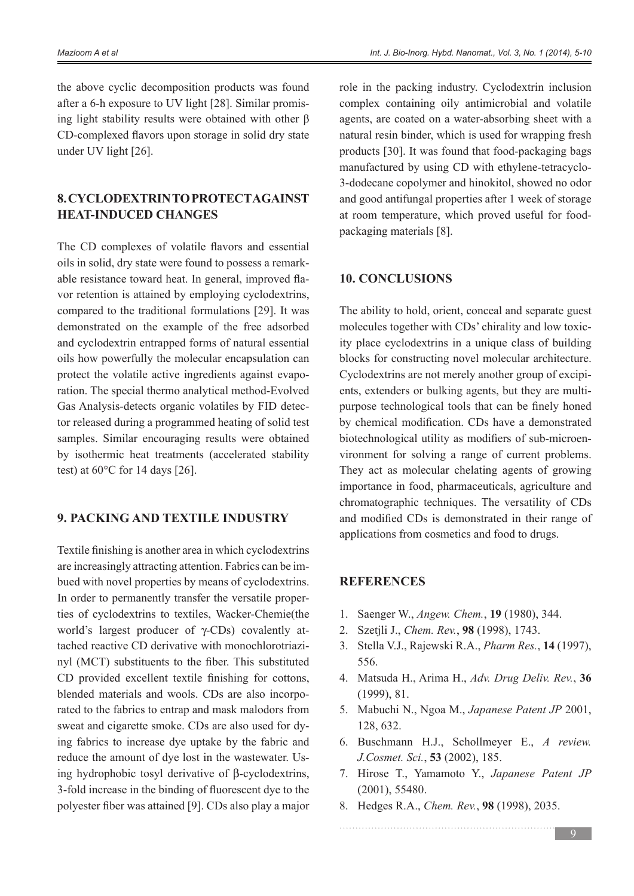the above cyclic decomposition products was found ing light stability results were obtained with other  $\beta$ after a 6-h exposure to UV light [28]. Similar promis-CD-complexed flavors upon storage in solid dry state under UV light [26].

# **8. CYCLODEXTRIN TO PROTECT AGAINST HEAT-INDUCED CHANGES**

The CD complexes of volatile flavors and essential vor retention is attained by employing cyclodextrins, able resistance toward heat. In general, improved flaoils in solid, dry state were found to possess a remarkcompared to the traditional formulations [29]. It was demonstrated on the example of the free adsorbed and cyclodextrin entrapped forms of natural essential oils how powerfully the molecular encapsulation can ration. The special thermo analytical method-Evolved protect the volatile active ingredients against evapotor released during a programmed heating of solid test Gas Analysis-detects organic volatiles by FID detecsamples. Similar encouraging results were obtained by isothermic heat treatments (accelerated stability test) at  $60^{\circ}$ C for 14 days [26].

# **9. PACKING AND TEXTILE INDUSTRY**

Textile finishing is another area in which cyclodextrins bued with novel properties by means of cyclodextrins. are increasingly attracting attention. Fabrics can be imties of cyclodextrins to textiles. Wacker-Chemie(the In order to permanently transfer the versatile propernyl (MCT) substituents to the fiber. This substituted tached reactive CD derivative with monochlorotriaziworld's largest producer of  $\gamma$ -CDs) covalently at-CD provided excellent textile finishing for cottons, rated to the fabrics to entrap and mask malodors from blended materials and wools. CDs are also incorpoing fabrics to increase dye uptake by the fabric and sweat and cigarette smoke. CDs are also used for dying hydrophobic tosyl derivative of  $\beta$ -cyclodextrins, reduce the amount of dye lost in the wastewater. Us-3-fold increase in the binding of fluorescent dye to the polyester fiber was attained [9]. CDs also play a major role in the packing industry. Cyclodextrin inclusion complex containing oily antimicrobial and volatile agents, are coated on a water-absorbing sheet with a natural resin binder, which is used for wrapping fresh products [30]. It was found that food-packaging bags manufactured by using CD with ethylene-tetracyclo-<br>3-dodecane copolymer and hinokitol, showed no odor and good antifungal properties after 1 week of storage at room temperature, which proved useful for food-<br>packaging materials [8].

### **10. CONCLUSIONS**

The ability to hold, orient, conceal and separate guest ity place cyclodextrins in a unique class of building molecules together with CDs' chirality and low toxicblocks for constructing novel molecular architecture. purpose technological tools that can be finely honed ents, extenders or bulking agents, but they are multi-Cyclodextrins are not merely another group of excipiby chemical modification. CDs have a demonstrated vironment for solving a range of current problems. biotechnological utility as modifiers of sub-microen-They act as molecular chelating agents of growing importance in food, pharmaceuticals, agriculture and chromatographic techniques. The versatility of CDs and modified CDs is demonstrated in their range of applications from cosmetics and food to drugs.

### **REFERENCES**

- 1. Saenger W., Angew. Chem., **19** (1980), 344.
- 2. Szetili J., Chem. Rev. 98 (1998), 1743.
- 3. Stella V.J., Rajewski R.A., *Pharm Res.*, 14 (1997), 556.
- 4. Matsuda H., Arima H., Adv. Drug Deliv. Rev., 36  $(1999), 81.$
- 5. Mabuchi N., Ngoa M., *Japanese Patent JP* 2001, 632. 128,
- 6. Buschmann H.J., Schollmeyer E., A review. *J.Cosmet. Sci.*, 53 (2002), 185.
- 7. Hirose T., Yamamoto Y., Japanese Patent JP  $(2001)$ , 55480.
- 8. Hedges R.A., *Chem. Rev.*, **98** (1998), 2035.